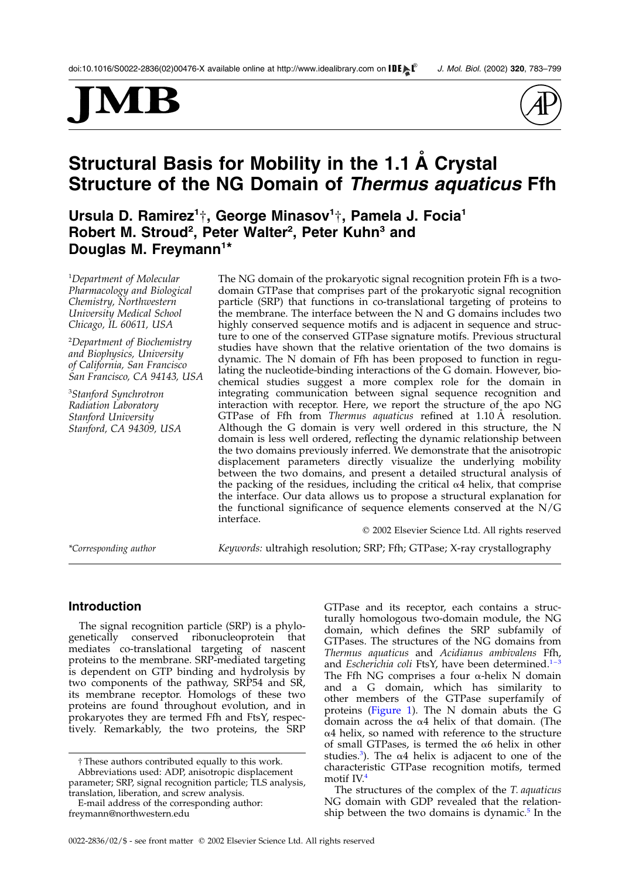# MJ



# Structural Basis for Mobility in the 1.1 A Crystal Structure of the NG Domain of Thermus aquaticus Ffh

Ursula D. Ramirez<sup>1</sup>†, George Minasov<sup>1</sup>†, Pamela J. Focia<sup>1</sup> Robert M. Stroud<sup>2</sup>, Peter Walter<sup>2</sup>, Peter Kuhn<sup>3</sup> and Douglas M. Freymann<sup>1\*</sup>

1 Department of Molecular Pharmacology and Biological Chemistry, Northwestern University Medical School Chicago, IL 60611, USA

2 Department of Biochemistry and Biophysics, University of California, San Francisco San Francisco, CA 94143, USA

3 Stanford Synchrotron Radiation Laboratory Stanford University Stanford, CA 94309, USA

The NG domain of the prokaryotic signal recognition protein Ffh is a twodomain GTPase that comprises part of the prokaryotic signal recognition particle (SRP) that functions in co-translational targeting of proteins to the membrane. The interface between the N and G domains includes two highly conserved sequence motifs and is adjacent in sequence and structure to one of the conserved GTPase signature motifs. Previous structural studies have shown that the relative orientation of the two domains is dynamic. The N domain of Ffh has been proposed to function in regulating the nucleotide-binding interactions of the G domain. However, biochemical studies suggest a more complex role for the domain in integrating communication between signal sequence recognition and interaction with receptor. Here, we report the structure of the apo NG GTPase of Ffh from Thermus aquaticus refined at 1.10 Å resolution. Although the G domain is very well ordered in this structure, the N domain is less well ordered, reflecting the dynamic relationship between the two domains previously inferred. We demonstrate that the anisotropic displacement parameters directly visualize the underlying mobility between the two domains, and present a detailed structural analysis of the packing of the residues, including the critical  $\alpha$ 4 helix, that comprise the interface. Our data allows us to propose a structural explanation for the functional significance of sequence elements conserved at the N/G interface.

\*Corresponding author Keywords: ultrahigh resolution; SRP; Ffh; GTPase; X-ray crystallography

 $©$  2002 Elsevier Science Ltd. All rights reserved

# Introduction

The signal recognition particle (SRP) is a phylogenetically conserved ribonucleoprotein that mediates co-translational targeting of nascent proteins to the membrane. SRP-mediated targeting is dependent on GTP binding and hydrolysis by two components of the pathway, SRP54 and SR, its membrane receptor. Homologs of these two proteins are found throughout evolution, and in prokaryotes they are termed Ffh and FtsY, respectively. Remarkably, the two proteins, the SRP

E-mail address of the corresponding author: freymann@northwestern.edu

GTPase and its receptor, each contains a structurally homologous two-domain module, the NG domain, which defines the SRP subfamily of GTPases. The structures of the NG domains from Thermus aquaticus and Acidianus ambivalens Ffh, and Escherichia coli FtsY, have been determined. $1-3$ The Ffh NG comprises a four  $\alpha$ -helix N domain and a G domain, which has similarity to other members of the GTPase superfamily of proteins ([Figure 1\)](#page-1-0). The N domain abuts the G domain across the  $\alpha$ 4 helix of that domain. (The  $\alpha$ 4 helix, so named with reference to the structure of small GTPases, is termed the  $\alpha$ 6 helix in other studies.<sup>[3](#page-14-0)</sup>). The  $\alpha$ 4 helix is adjacent to one of the characteristic GTPase recognition motifs, termed motif IV.[4](#page-14-0)

The structures of the complex of the T. aquaticus NG domain with GDP revealed that the relationship between the two domains is dynamic. $5$  In the

<sup>†</sup>These authors contributed equally to this work. Abbreviations used: ADP, anisotropic displacement parameter; SRP, signal recognition particle; TLS analysis, translation, liberation, and screw analysis.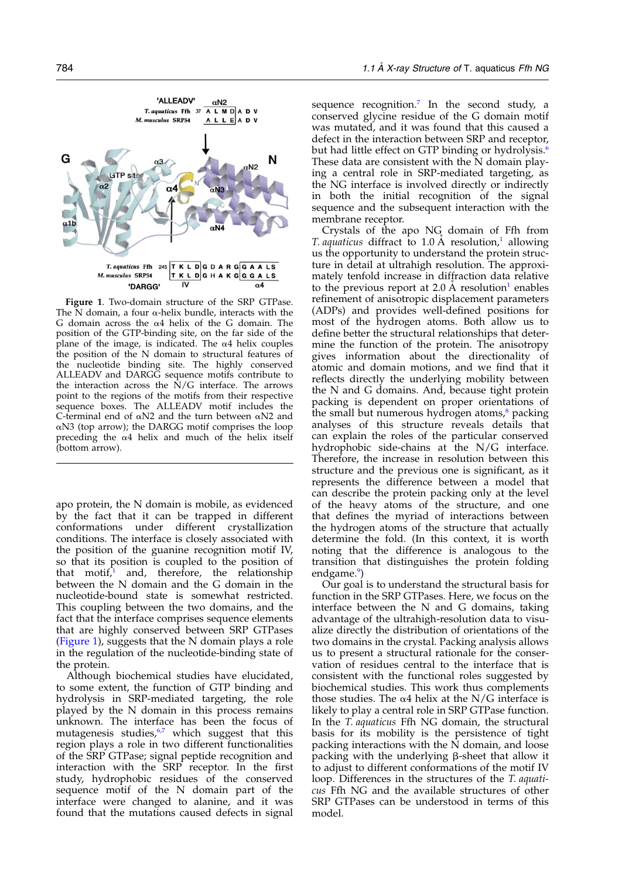<span id="page-1-0"></span>

Figure 1. Two-domain structure of the SRP GTPase. The  $\overline{N}$  domain, a four  $\alpha$ -helix bundle, interacts with the G domain across the  $\alpha$ 4 helix of the G domain. The position of the GTP-binding site, on the far side of the plane of the image, is indicated. The  $\alpha$ 4 helix couples the position of the N domain to structural features of the nucleotide binding site. The highly conserved ALLEADV and DARGG sequence motifs contribute to the interaction across the  $N/G$  interface. The arrows point to the regions of the motifs from their respective sequence boxes. The ALLEADV motif includes the C-terminal end of  $\alpha$ N2 and the turn between  $\alpha$ N2 and  $\alpha$ N3 (top arrow); the DARGG motif comprises the loop preceding the  $\alpha$ 4 helix and much of the helix itself (bottom arrow).

apo protein, the N domain is mobile, as evidenced by the fact that it can be trapped in different conformations under different crystallization conditions. The interface is closely associated with the position of the guanine recognition motif IV, so that its position is coupled to the position of that motif,<sup>[1](#page-14-0)</sup> and, therefore, the relationship between the N domain and the G domain in the nucleotide-bound state is somewhat restricted. This coupling between the two domains, and the fact that the interface comprises sequence elements that are highly conserved between SRP GTPases (Figure 1), suggests that the N domain plays a role in the regulation of the nucleotide-binding state of the protein.

Although biochemical studies have elucidated, to some extent, the function of GTP binding and hydrolysis in SRP-mediated targeting, the role played by the N domain in this process remains unknown. The interface has been the focus of mutagenesis studies,<sup>6,7</sup> which suggest that this region plays a role in two different functionalities of the SRP GTPase; signal peptide recognition and interaction with the SRP receptor. In the first study, hydrophobic residues of the conserved sequence motif of the N domain part of the interface were changed to alanine, and it was found that the mutations caused defects in signal

sequence recognition.<sup>[7](#page-14-0)</sup> In the second study, a conserved glycine residue of the G domain motif was mutated, and it was found that this caused a defect in the interaction between SRP and receptor, but had little effect on GTP binding or hydrolysis.<sup>[6](#page-14-0)</sup> These data are consistent with the N domain playing a central role in SRP-mediated targeting, as the NG interface is involved directly or indirectly in both the initial recognition of the signal sequence and the subsequent interaction with the membrane receptor.

Crystals of the apo NG domain of Ffh from T. aquaticus diffract to  $1.0 \text{ A}$  $1.0 \text{ A}$  resolution,<sup>1</sup> allowing us the opportunity to understand the protein structure in detail at ultrahigh resolution. The approximately tenfold increase in diffraction data relative to the previous report at  $2.0 \text{ Å}$  resolution<sup>[1](#page-14-0)</sup> enables refinement of anisotropic displacement parameters (ADPs) and provides well-defined positions for most of the hydrogen atoms. Both allow us to define better the structural relationships that determine the function of the protein. The anisotropy gives information about the directionality of atomic and domain motions, and we find that it reflects directly the underlying mobility between the N and G domains. And, because tight protein packing is dependent on proper orientations of the small but numerous hydrogen atoms, $\delta$  packing analyses of this structure reveals details that can explain the roles of the particular conserved hydrophobic side-chains at the N/G interface. Therefore, the increase in resolution between this structure and the previous one is significant, as it represents the difference between a model that can describe the protein packing only at the level of the heavy atoms of the structure, and one that defines the myriad of interactions between the hydrogen atoms of the structure that actually determine the fold. (In this context, it is worth noting that the difference is analogous to the transition that distinguishes the protein folding endgame.<sup>[9](#page-14-0)</sup>)

Our goal is to understand the structural basis for function in the SRP GTPases. Here, we focus on the interface between the N and G domains, taking advantage of the ultrahigh-resolution data to visualize directly the distribution of orientations of the two domains in the crystal. Packing analysis allows us to present a structural rationale for the conservation of residues central to the interface that is consistent with the functional roles suggested by biochemical studies. This work thus complements those studies. The  $\alpha$ 4 helix at the N/G interface is likely to play a central role in SRP GTPase function. In the T. aquaticus Ffh NG domain, the structural basis for its mobility is the persistence of tight packing interactions with the N domain, and loose packing with the underlying  $\beta$ -sheet that allow it to adjust to different conformations of the motif IV loop. Differences in the structures of the T. aquaticus Ffh NG and the available structures of other SRP GTPases can be understood in terms of this model.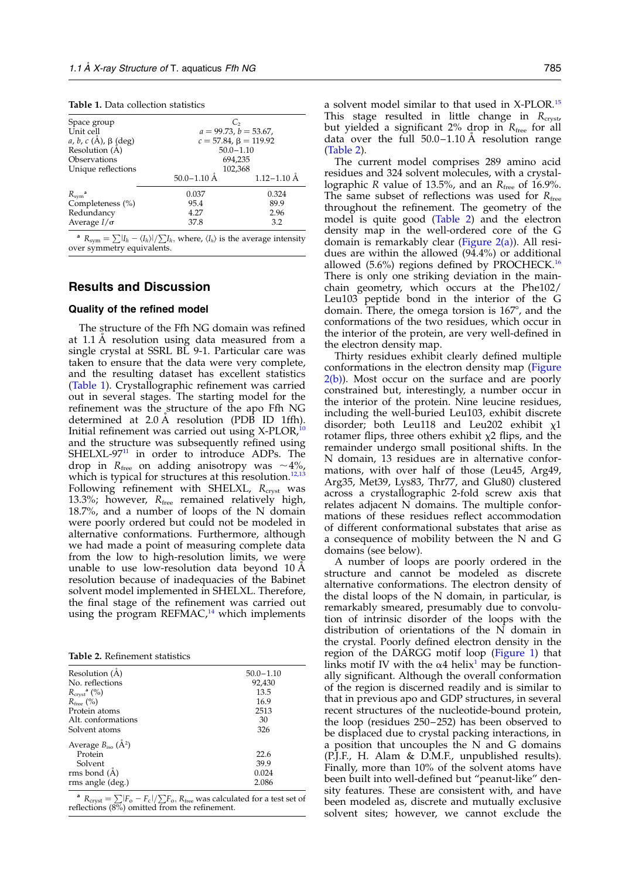<span id="page-2-0"></span>

|  |  |  | <b>Table 1.</b> Data collection statistics |  |
|--|--|--|--------------------------------------------|--|
|--|--|--|--------------------------------------------|--|

| Space group                |                                                               | $C_{2}$         |  |
|----------------------------|---------------------------------------------------------------|-----------------|--|
| Unit cell                  | $a = 99.73$ , $b = 53.67$ ,<br>$c = 57.84$ , $\beta = 119.92$ |                 |  |
| a, b, c (Å), $\beta$ (deg) |                                                               |                 |  |
| Resolution (A)             | $50.0 - 1.10$                                                 |                 |  |
| Observations               | 694,235                                                       |                 |  |
| Unique reflections         | 102,368                                                       |                 |  |
|                            | $50.0 - 1.10$ Å                                               | $1.12 - 1.10$ Å |  |
| $R_{sym}^{\quad a}$        | 0.037                                                         | 0.324           |  |
| Completeness (%)           | 95.4                                                          | 89.9            |  |
| Redundancy                 | 4.27                                                          | 2.96            |  |
| Average $I/\sigma$         | 37.8                                                          | 3.2             |  |
|                            |                                                               |                 |  |

<sup>a</sup>  $R_{sym} = \sum |I_h - \langle I_h \rangle| / \sum I_h$ , where,  $\langle I_h \rangle$  is the average intensity over symmetry equivalents.

# Results and Discussion

#### Quality of the refined model

The structure of the Ffh NG domain was refined at 1.1 A resolution using data measured from a single crystal at SSRL BL 9-1. Particular care was taken to ensure that the data were very complete, and the resulting dataset has excellent statistics (Table 1). Crystallographic refinement was carried out in several stages. The starting model for the refinement was the structure of the apo Ffh NG determined at 2.0 Å resolution (PDB ID 1ffh). Initial refinement was carried out using  $X-PLOR<sup>10</sup>$  $X-PLOR<sup>10</sup>$  $X-PLOR<sup>10</sup>$ and the structure was subsequently refined using  $SHELXL-97<sup>11</sup>$  $SHELXL-97<sup>11</sup>$  $SHELXL-97<sup>11</sup>$  in order to introduce ADPs. The drop in  $R_{\text{free}}$  on adding anisotropy was  $\sim$  4%, which is typical for structures at this resolution.<sup>[12,13](#page-14-0)</sup> Following refinement with SHELXL,  $R<sub>crvst</sub>$  was 13.3%; however,  $R_{\text{free}}$  remained relatively high, 18.7%, and a number of loops of the N domain were poorly ordered but could not be modeled in alternative conformations. Furthermore, although we had made a point of measuring complete data from the low to high-resolution limits, we were unable to use low-resolution data beyond  $10 \text{ A}$ resolution because of inadequacies of the Babinet solvent model implemented in SHELXL. Therefore, the final stage of the refinement was carried out using the program REFMAC, $14$  which implements

Table 2. Refinement statistics

| $50.0 - 1.10$ |
|---------------|
| 92,430        |
| 13.5          |
| 16.9          |
| 2513          |
| 30            |
| 326           |
|               |
| 22.6          |
| 39.9          |
| 0.024         |
| 2.086         |
|               |

<sup>a</sup>  $R_{\text{cryst}} = \sum |F_{o} - F_{c}| / \sum F_{o}$ ,  $R_{\text{free}}$  was calculated for a test set of reflections  $(8\%)$  omitted from the refinement.

a solvent model similar to that used in X-PLOR.[15](#page-15-0) This stage resulted in little change in  $R_{\text{cryst}}$ but yielded a significant 2% drop in  $R_{\text{free}}$  for all data over the full  $50.0-1.10$  A resolution range (Table 2).

The current model comprises 289 amino acid residues and 324 solvent molecules, with a crystallographic R value of 13.5%, and an  $R_{\text{free}}$  of 16.9%. The same subset of reflections was used for  $R_{\text{free}}$ throughout the refinement. The geometry of the model is quite good (Table 2) and the electron density map in the well-ordered core of the G domain is remarkably clear ([Figure 2\(a\)\)](#page-3-0). All residues are within the allowed (94.4%) or additional allowed (5.6%) regions defined by PROCHECK.[16](#page-15-0) There is only one striking deviation in the mainchain geometry, which occurs at the Phe102/ Leu103 peptide bond in the interior of the G domain. There, the omega torsion is 167°, and the conformations of the two residues, which occur in the interior of the protein, are very well-defined in the electron density map.

Thirty residues exhibit clearly defined multiple conformations in the electron density map [\(Figure](#page-3-0)  $2(b)$ ). Most occur on the surface and are poorly constrained but, interestingly, a number occur in the interior of the protein. Nine leucine residues, including the well-buried Leu103, exhibit discrete disorder; both Leu118 and Leu202 exhibit  $\chi$ 1 rotamer flips, three others exhibit  $\chi$ 2 flips, and the remainder undergo small positional shifts. In the N domain, 13 residues are in alternative conformations, with over half of those (Leu45, Arg49, Arg35, Met39, Lys83, Thr77, and Glu80) clustered across a crystallographic 2-fold screw axis that relates adjacent N domains. The multiple conformations of these residues reflect accommodation of different conformational substates that arise as a consequence of mobility between the N and G domains (see below).

A number of loops are poorly ordered in the structure and cannot be modeled as discrete alternative conformations. The electron density of the distal loops of the N domain, in particular, is remarkably smeared, presumably due to convolution of intrinsic disorder of the loops with the distribution of orientations of the N domain in the crystal. Poorly defined electron density in the region of the DARGG motif loop [\(Figure 1\)](#page-1-0) that links motif IV with the  $\alpha$ 4 helix<sup>[1](#page-14-0)</sup> may be functionally significant. Although the overall conformation of the region is discerned readily and is similar to that in previous apo and GDP structures, in several recent structures of the nucleotide-bound protein, the loop (residues 250–252) has been observed to be displaced due to crystal packing interactions, in a position that uncouples the N and G domains (P.J.F., H. Alam & D.M.F., unpublished results). Finally, more than 10% of the solvent atoms have been built into well-defined but "peanut-like" density features. These are consistent with, and have been modeled as, discrete and mutually exclusive solvent sites; however, we cannot exclude the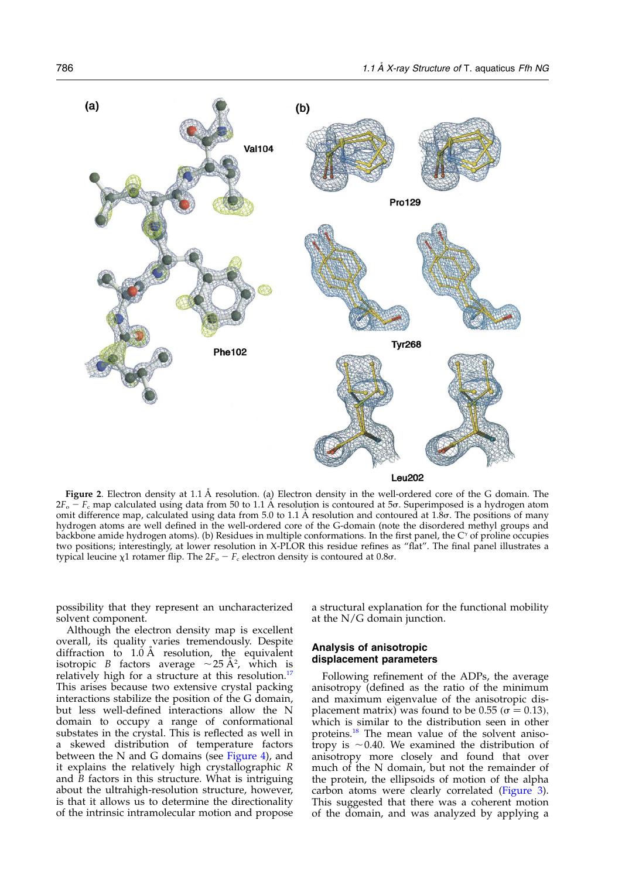<span id="page-3-0"></span>

Figure 2. Electron density at 1.1 Å resolution. (a) Electron density in the well-ordered core of the G domain. The  $2F_o - F_c$  map calculated using data from 50 to 1.1 A resolution is contoured at 5 $\sigma$ . Superimposed is a hydrogen atom omit difference map, calculated using data from 5.0 to 1.1 Å resolution and contoured at 1.8s. The positions of many hydrogen atoms are well defined in the well-ordered core of the G-domain (note the disordered methyl groups and backbone amide hydrogen atoms). (b) Residues in multiple conformations. In the first panel, the  $C^{\gamma}$  of proline occupies two positions; interestingly, at lower resolution in X-PLOR this residue refines as "flat". The final panel illustrates a typical leucine  $\chi$ 1 rotamer flip. The  $2F_o - F_c$  electron density is contoured at 0.8 $\sigma$ .

possibility that they represent an uncharacterized solvent component.

Although the electron density map is excellent overall, its quality varies tremendously. Despite diffraction to  $1.\dot{0}$  Å resolution, the equivalent isotropic *B* factors average  $\sim$  25 Å<sup>2</sup>, which is relatively high for a structure at this resolution.<sup>[17](#page-15-0)</sup> This arises because two extensive crystal packing interactions stabilize the position of the G domain, but less well-defined interactions allow the N domain to occupy a range of conformational substates in the crystal. This is reflected as well in a skewed distribution of temperature factors between the N and G domains (see [Figure 4\)](#page-5-0), and it explains the relatively high crystallographic R and  $B$  factors in this structure. What is intriguing about the ultrahigh-resolution structure, however, is that it allows us to determine the directionality of the intrinsic intramolecular motion and propose

a structural explanation for the functional mobility at the N/G domain junction.

## Analysis of anisotropic displacement parameters

Following refinement of the ADPs, the average anisotropy (defined as the ratio of the minimum and maximum eigenvalue of the anisotropic displacement matrix) was found to be 0.55 ( $\sigma$  = 0.13), which is similar to the distribution seen in other proteins.[18](#page-15-0) The mean value of the solvent anisotropy is  $\sim$  0.40. We examined the distribution of anisotropy more closely and found that over much of the N domain, but not the remainder of the protein, the ellipsoids of motion of the alpha carbon atoms were clearly correlated [\(Figure 3](#page-4-0)). This suggested that there was a coherent motion of the domain, and was analyzed by applying a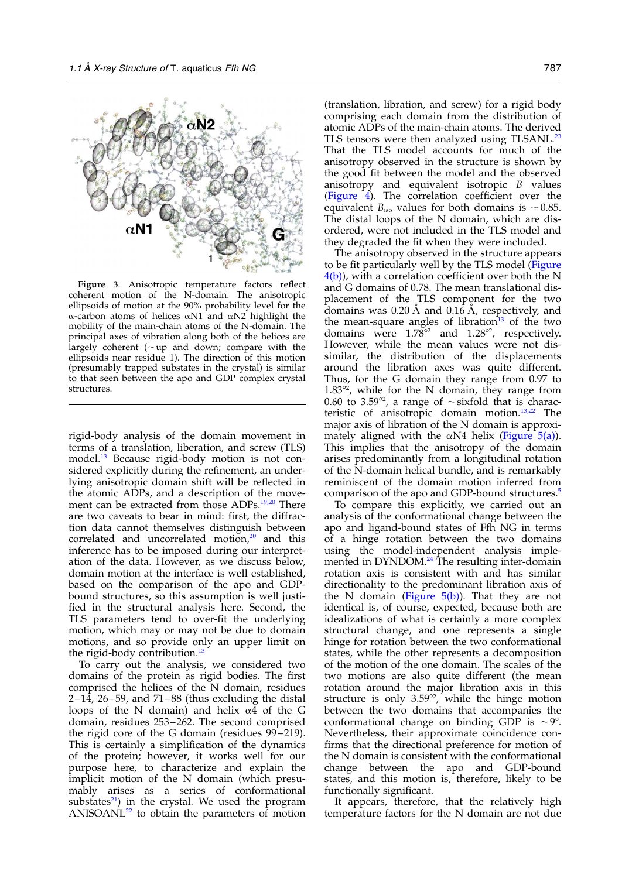<span id="page-4-0"></span>

Figure 3. Anisotropic temperature factors reflect coherent motion of the N-domain. The anisotropic ellipsoids of motion at the 90% probability level for the  $\alpha$ -carbon atoms of helices  $\alpha$ N1 and  $\alpha$ N2 highlight the mobility of the main-chain atoms of the N-domain. The principal axes of vibration along both of the helices are largely coherent ( $\sim$ up and down; compare with the ellipsoids near residue 1). The direction of this motion (presumably trapped substates in the crystal) is similar to that seen between the apo and GDP complex crystal structures.

rigid-body analysis of the domain movement in terms of a translation, liberation, and screw (TLS) model.<sup>13</sup> Because rigid-body motion is not considered explicitly during the refinement, an underlying anisotropic domain shift will be reflected in the atomic ADPs, and a description of the move-ment can be extracted from those ADPs.<sup>[19,20](#page-15-0)</sup> There are two caveats to bear in mind: first, the diffraction data cannot themselves distinguish between correlated and uncorrelated motion, $20$  and this inference has to be imposed during our interpretation of the data. However, as we discuss below, domain motion at the interface is well established, based on the comparison of the apo and GDPbound structures, so this assumption is well justified in the structural analysis here. Second, the TLS parameters tend to over-fit the underlying motion, which may or may not be due to domain motions, and so provide only an upper limit on the rigid-body contribution.<sup>[13](#page-14-0)</sup>

To carry out the analysis, we considered two domains of the protein as rigid bodies. The first comprised the helices of the N domain, residues  $2-14$ ,  $26-59$ , and  $71-88$  (thus excluding the distal loops of the N domain) and helix  $\alpha$ 4 of the G domain, residues 253–262. The second comprised the rigid core of the G domain (residues 99–219). This is certainly a simplification of the dynamics of the protein; however, it works well for our purpose here, to characterize and explain the implicit motion of the N domain (which presumably arises as a series of conformational substates $^{21}$ ) in the crystal. We used the program  $ANISOANL<sup>22</sup>$  $ANISOANL<sup>22</sup>$  $ANISOANL<sup>22</sup>$  to obtain the parameters of motion

(translation, libration, and screw) for a rigid body comprising each domain from the distribution of atomic ADPs of the main-chain atoms. The derived TLS tensors were then analyzed using TLSANL.<sup>[23](#page-15-0)</sup> That the TLS model accounts for much of the anisotropy observed in the structure is shown by the good fit between the model and the observed anisotropy and equivalent isotropic B values [\(Figure 4\)](#page-5-0). The correlation coefficient over the equivalent  $B_{\text{iso}}$  values for both domains is  $\sim 0.85$ . The distal loops of the N domain, which are disordered, were not included in the TLS model and they degraded the fit when they were included.

The anisotropy observed in the structure appears to be fit particularly well by the TLS model [\(Figure](#page-5-0)  $4(b)$ , with a correlation coefficient over both the N and G domains of 0.78. The mean translational displacement of the TLS component for the two domains was  $0.20 \text{ Å}$  and  $0.16 \text{ Å}$ , respectively, and the mean-square angles of libration $13$  of the two domains were  $1.78^{\circ}$  and  $1.28^{\circ}$ , respectively. However, while the mean values were not dissimilar, the distribution of the displacements around the libration axes was quite different. Thus, for the G domain they range from 0.97 to  $1.83^{\circ2}$ , while for the N domain, they range from 0.60 to 3.59 $\degree$ , a range of  $\sim$ sixfold that is characteristic of anisotropic domain motion.[13,22](#page-14-0) The major axis of libration of the N domain is approximately aligned with the  $\alpha$ N4 helix [\(Figure 5\(a\)](#page-6-0)). This implies that the anisotropy of the domain arises predominantly from a longitudinal rotation of the N-domain helical bundle, and is remarkably reminiscent of the domain motion inferred from comparison of the apo and GDP-bound structures.<sup>[5](#page-14-0)</sup>

To compare this explicitly, we carried out an analysis of the conformational change between the apo and ligand-bound states of Ffh NG in terms of a hinge rotation between the two domains using the model-independent analysis imple-mented in DYNDOM.<sup>[24](#page-15-0)</sup> The resulting inter-domain rotation axis is consistent with and has similar directionality to the predominant libration axis of the N domain (Figure  $5(b)$ ). That they are not identical is, of course, expected, because both are idealizations of what is certainly a more complex structural change, and one represents a single hinge for rotation between the two conformational states, while the other represents a decomposition of the motion of the one domain. The scales of the two motions are also quite different (the mean rotation around the major libration axis in this structure is only 3.59 $\degree$ , while the hinge motion between the two domains that accompanies the conformational change on binding GDP is  $\sim$ 9°. Nevertheless, their approximate coincidence confirms that the directional preference for motion of the N domain is consistent with the conformational change between the apo and GDP-bound states, and this motion is, therefore, likely to be functionally significant.

It appears, therefore, that the relatively high temperature factors for the N domain are not due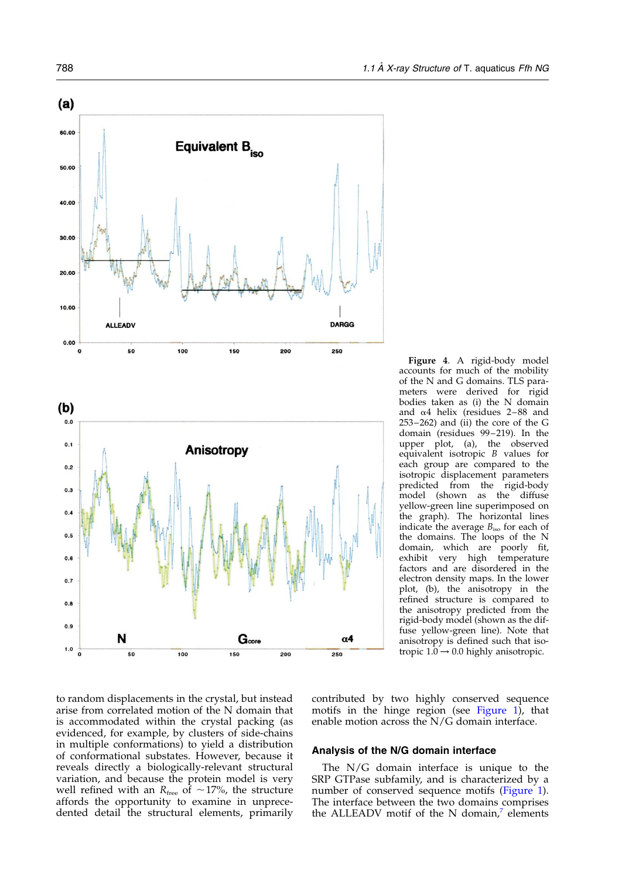$(a)$ 

60.00

50.00

40.00

30.00

20.00

10.00

 $0.00$ 

 $(b)$  $0.0$ 

 $0.1$ 

 $0.2$ 

 $0.3$ 

 $0.4$ 

 $0.5$ 

 $0.6$ 

 $0.7$ 

 $0.8$ 

 $0.9$ 

 $1.0$  $\mathbf{0}$ 

50

<span id="page-5-0"></span>

 $G<sub>core</sub>$ 

200

150

Figure 4. A rigid-body model accounts for much of the mobility of the N and G domains. TLS parameters were derived for rigid bodies taken as (i) the N domain and  $\alpha$ 4 helix (residues 2-88 and 253–262) and (ii) the core of the G domain (residues 99–219). In the upper plot, (a), the observed equivalent isotropic B values for each group are compared to the isotropic displacement parameters predicted from the rigid-body model (shown as the diffuse yellow-green line superimposed on the graph). The horizontal lines indicate the average  $B_{\text{iso}}$  for each of the domains. The loops of the N domain, which are poorly fit, exhibit very high temperature factors and are disordered in the electron density maps. In the lower plot, (b), the anisotropy in the refined structure is compared to the anisotropy predicted from the rigid-body model (shown as the diffuse yellow-green line). Note that anisotropy is defined such that isotropic  $1.0 \rightarrow 0.0$  highly anisotropic.

to random displacements in the crystal, but instead arise from correlated motion of the N domain that is accommodated within the crystal packing (as evidenced, for example, by clusters of side-chains in multiple conformations) to yield a distribution of conformational substates. However, because it reveals directly a biologically-relevant structural variation, and because the protein model is very well refined with an  $R_{\text{free}}$  of  $\sim$ 17%, the structure affords the opportunity to examine in unprecedented detail the structural elements, primarily

100

contributed by two highly conserved sequence motifs in the hinge region (see [Figure 1\)](#page-1-0), that enable motion across the N/G domain interface.

#### Analysis of the N/G domain interface

 $\alpha$ 4

250

The N/G domain interface is unique to the SRP GTPase subfamily, and is characterized by a number of conserved sequence motifs [\(Figure 1](#page-1-0)). The interface between the two domains comprises the ALLEADV motif of the N domain, $^7$  $^7$  elements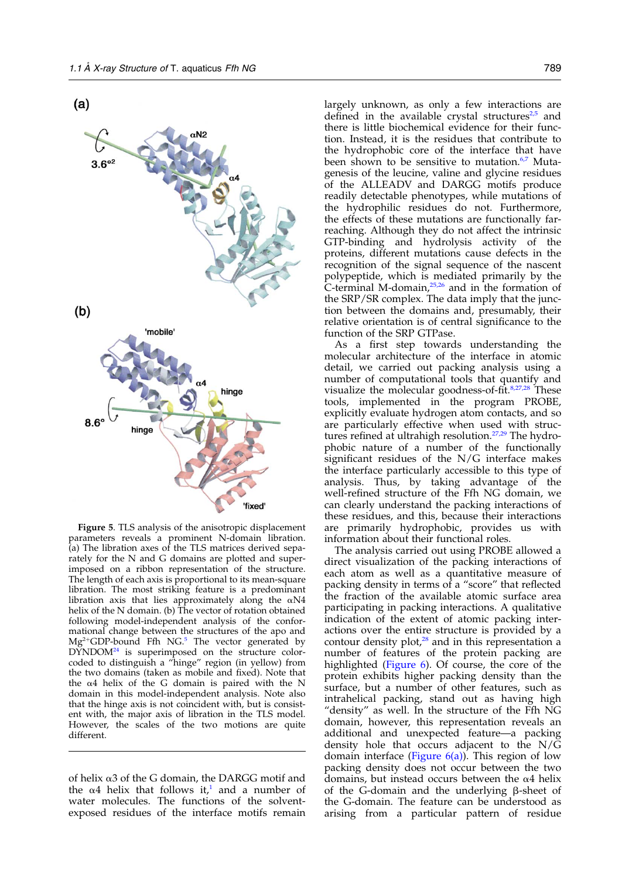<span id="page-6-0"></span>

Figure 5. TLS analysis of the anisotropic displacement parameters reveals a prominent N-domain libration. (a) The libration axes of the TLS matrices derived separately for the N and G domains are plotted and superimposed on a ribbon representation of the structure. The length of each axis is proportional to its mean-square libration. The most striking feature is a predominant libration axis that lies approximately along the  $\alpha N4$ helix of the N domain. (b) The vector of rotation obtained following model-independent analysis of the conformational change between the structures of the apo and  $Mg^{2+}GDP$ -bound Ffh NG.<sup>[5](#page-14-0)</sup> The vector generated by  $D\text{YNDOM}^2$  is superimposed on the structure colorcoded to distinguish a "hinge" region (in yellow) from the two domains (taken as mobile and fixed). Note that the  $\alpha$ 4 helix of the G domain is paired with the N domain in this model-independent analysis. Note also that the hinge axis is not coincident with, but is consistent with, the major axis of libration in the TLS model. However, the scales of the two motions are quite different.

of helix  $\alpha$ 3 of the G domain, the DARGG motif and the  $\alpha$ 4 helix that follows it,<sup>[1](#page-14-0)</sup> and a number of water molecules. The functions of the solventexposed residues of the interface motifs remain largely unknown, as only a few interactions are defined in the available crystal structures $2.5$  and there is little biochemical evidence for their function. Instead, it is the residues that contribute to the hydrophobic core of the interface that have been shown to be sensitive to mutation.<sup>6,7</sup> Mutagenesis of the leucine, valine and glycine residues of the ALLEADV and DARGG motifs produce readily detectable phenotypes, while mutations of the hydrophilic residues do not. Furthermore, the effects of these mutations are functionally farreaching. Although they do not affect the intrinsic GTP-binding and hydrolysis activity of the proteins, different mutations cause defects in the recognition of the signal sequence of the nascent polypeptide, which is mediated primarily by the C-terminal M-domain, $25,26$  and in the formation of the SRP/SR complex. The data imply that the junction between the domains and, presumably, their relative orientation is of central significance to the function of the SRP GTPase.

As a first step towards understanding the molecular architecture of the interface in atomic detail, we carried out packing analysis using a number of computational tools that quantify and visualize the molecular goodness-of-fit.<sup>[8,27,28](#page-14-0)</sup> These tools, implemented in the program PROBE, explicitly evaluate hydrogen atom contacts, and so are particularly effective when used with struc-tures refined at ultrahigh resolution.<sup>[27,29](#page-15-0)</sup> The hydrophobic nature of a number of the functionally significant residues of the N/G interface makes the interface particularly accessible to this type of analysis. Thus, by taking advantage of the well-refined structure of the Ffh NG domain, we can clearly understand the packing interactions of these residues, and this, because their interactions are primarily hydrophobic, provides us with information about their functional roles.

The analysis carried out using PROBE allowed a direct visualization of the packing interactions of each atom as well as a quantitative measure of packing density in terms of a "score" that reflected the fraction of the available atomic surface area participating in packing interactions. A qualitative indication of the extent of atomic packing interactions over the entire structure is provided by a contour density plot,<sup>[28](#page-15-0)</sup> and in this representation a number of features of the protein packing are highlighted ([Figure 6](#page-7-0)). Of course, the core of the protein exhibits higher packing density than the surface, but a number of other features, such as intrahelical packing, stand out as having high "density" as well. In the structure of the Ffh NG domain, however, this representation reveals an additional and unexpected feature—a packing density hole that occurs adjacent to the N/G domain interface (Figure  $6(a)$ ). This region of low packing density does not occur between the two domains, but instead occurs between the  $\alpha$ 4 helix of the G-domain and the underlying  $\beta$ -sheet of the G-domain. The feature can be understood as arising from a particular pattern of residue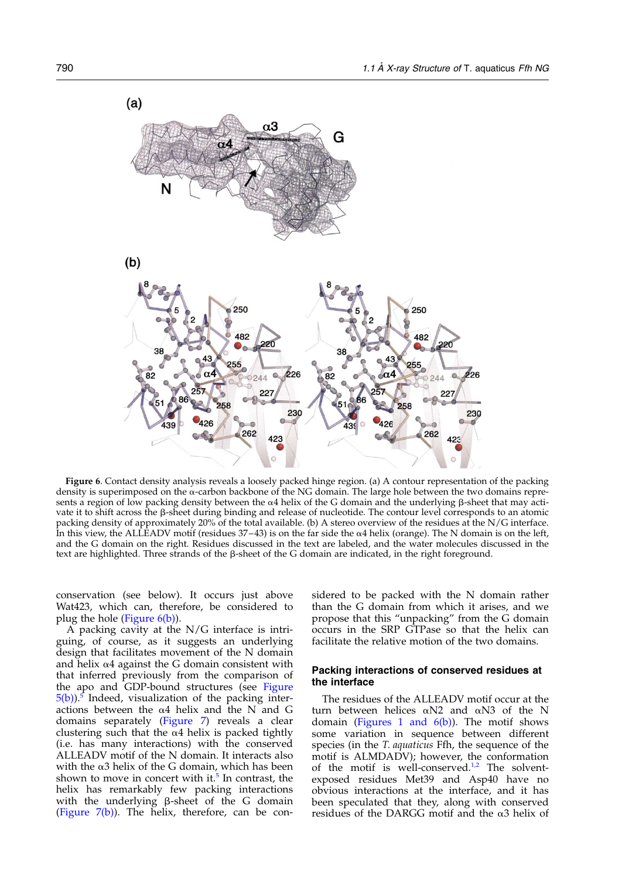<span id="page-7-0"></span>

Figure 6. Contact density analysis reveals a loosely packed hinge region. (a) A contour representation of the packing density is superimposed on the  $\alpha$ -carbon backbone of the NG domain. The large hole between the two domains represents a region of low packing density between the  $\alpha$ 4 helix of the G domain and the underlying  $\beta$ -sheet that may activate it to shift across the  $\beta$ -sheet during binding and release of nucleotide. The contour level corresponds to an atomic packing density of approximately 20% of the total available. (b) A stereo overview of the residues at the N/G interface. In this view, the ALLEADV motif (residues  $37-43$ ) is on the far side the  $\alpha$ 4 helix (orange). The N domain is on the left, and the G domain on the right. Residues discussed in the text are labeled, and the water molecules discussed in the text are highlighted. Three strands of the  $\beta$ -sheet of the G domain are indicated, in the right foreground.

conservation (see below). It occurs just above Wat423, which can, therefore, be considered to plug the hole (Figure 6(b)).

A packing cavity at the N/G interface is intriguing, of course, as it suggests an underlying design that facilitates movement of the N domain and helix  $\alpha$ 4 against the G domain consistent with that inferred previously from the comparison of the apo and GDP-bound structures (see [Figure](#page-6-0)  $5(b)$  $5(b)$ ).<sup>5</sup> Indeed, visualization of the packing interactions between the  $\alpha$ 4 helix and the N and G domains separately [\(Figure 7](#page-8-0)) reveals a clear clustering such that the  $\alpha$ 4 helix is packed tightly (i.e. has many interactions) with the conserved ALLEADV motif of the N domain. It interacts also with the  $\alpha$ 3 helix of the G domain, which has been shown to move in concert with it.<sup>[5](#page-14-0)</sup> In contrast, the helix has remarkably few packing interactions with the underlying  $\beta$ -sheet of the G domain [\(Figure 7\(b\)](#page-8-0)). The helix, therefore, can be con-

sidered to be packed with the N domain rather than the G domain from which it arises, and we propose that this "unpacking" from the G domain occurs in the SRP GTPase so that the helix can facilitate the relative motion of the two domains.

# Packing interactions of conserved residues at the interface

The residues of the ALLEADV motif occur at the turn between helices  $\alpha$ N2 and  $\alpha$ N3 of the N domain (Figures 1 and  $6(b)$ ). The motif shows some variation in sequence between different species (in the *T. aquaticus* Ffh, the sequence of the motif is ALMDADV); however, the conformation of the motif is well-conserved.<sup>[1,2](#page-14-0)</sup> The solventexposed residues Met39 and Asp40 have no obvious interactions at the interface, and it has been speculated that they, along with conserved residues of the DARGG motif and the  $\alpha$ 3 helix of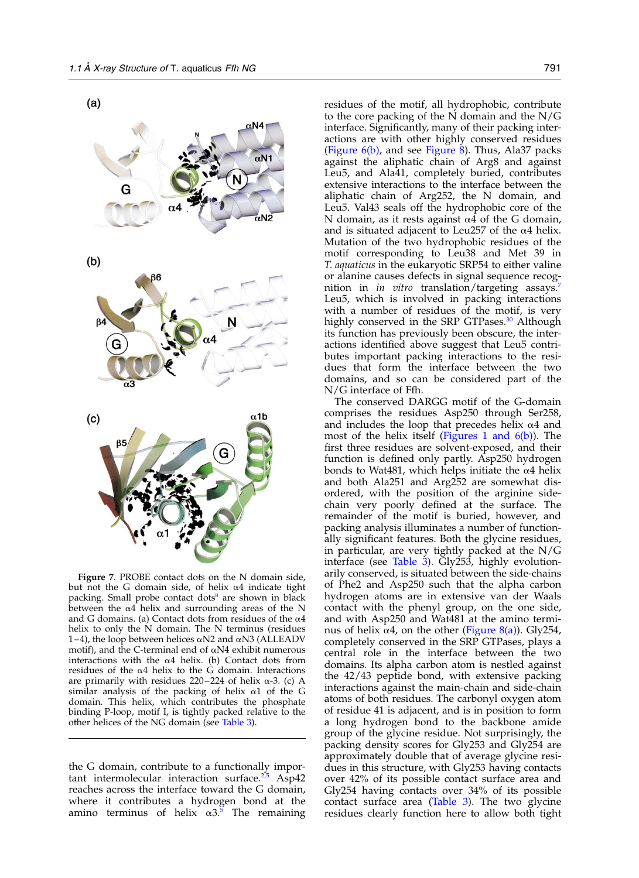<span id="page-8-0"></span>



Figure 7. PROBE contact dots on the N domain side, but not the G domain side, of helix  $\alpha$ 4 indicate tight packing. Small probe contact dots<sup>8</sup> are shown in black between the  $\alpha$ 4 helix and surrounding areas of the N and G domains. (a) Contact dots from residues of the  $\alpha$ 4 helix to only the N domain. The N terminus (residues 1–4), the loop between helices  $\alpha$ N2 and  $\alpha$ N3 (ALLEADV motif), and the C-terminal end of  $\alpha$ N4 exhibit numerous interactions with the  $\alpha$ 4 helix. (b) Contact dots from residues of the  $\alpha$ 4 helix to the G domain. Interactions are primarily with residues  $220-224$  of helix  $\alpha$ -3. (c) A similar analysis of the packing of helix  $\alpha$ 1 of the G domain. This helix, which contributes the phosphate binding P-loop, motif I, is tightly packed relative to the other helices of the NG domain (see [Table 3](#page-10-0)).

the G domain, contribute to a functionally important intermolecular interaction surface. $2.5$  Asp42 reaches across the interface toward the G domain, where it contributes a hydrogen bond at the amino terminus of helix  $\alpha$ 3.<sup>[5](#page-14-0)</sup> The remaining residues of the motif, all hydrophobic, contribute to the core packing of the N domain and the N/G interface. Significantly, many of their packing interactions are with other highly conserved residues [\(Figure 6\(b\),](#page-7-0) and see [Figure 8](#page-9-0)). Thus, Ala37 packs against the aliphatic chain of Arg8 and against Leu5, and Ala41, completely buried, contributes extensive interactions to the interface between the aliphatic chain of Arg252, the N domain, and Leu5. Val43 seals off the hydrophobic core of the N domain, as it rests against  $\alpha$ 4 of the G domain, and is situated adjacent to Leu257 of the  $\alpha$ 4 helix. Mutation of the two hydrophobic residues of the motif corresponding to Leu38 and Met 39 in T. aquaticus in the eukaryotic SRP54 to either valine or alanine causes defects in signal sequence recognition in *in vitro* translation/targeting assays.<sup>[7](#page-14-0)</sup> Leu5, which is involved in packing interactions with a number of residues of the motif, is very highly conserved in the SRP GTPases.<sup>[30](#page-15-0)</sup> Although its function has previously been obscure, the interactions identified above suggest that Leu5 contributes important packing interactions to the residues that form the interface between the two domains, and so can be considered part of the N/G interface of Ffh.

The conserved DARGG motif of the G-domain comprises the residues Asp250 through Ser258, and includes the loop that precedes helix  $\alpha$ 4 and most of the helix itself (Figures 1 and  $6(b)$ ). The first three residues are solvent-exposed, and their function is defined only partly. Asp250 hydrogen bonds to Wat481, which helps initiate the  $\alpha$ 4 helix and both Ala251 and Arg252 are somewhat disordered, with the position of the arginine sidechain very poorly defined at the surface. The remainder of the motif is buried, however, and packing analysis illuminates a number of functionally significant features. Both the glycine residues, in particular, are very tightly packed at the N/G interface (see [Table 3\)](#page-10-0). Gly253, highly evolutionarily conserved, is situated between the side-chains of Phe2 and Asp250 such that the alpha carbon hydrogen atoms are in extensive van der Waals contact with the phenyl group, on the one side, and with Asp250 and Wat481 at the amino terminus of helix  $\alpha$ 4, on the other ([Figure 8\(a\)](#page-9-0)). Gly254, completely conserved in the SRP GTPases, plays a central role in the interface between the two domains. Its alpha carbon atom is nestled against the 42/43 peptide bond, with extensive packing interactions against the main-chain and side-chain atoms of both residues. The carbonyl oxygen atom of residue 41 is adjacent, and is in position to form a long hydrogen bond to the backbone amide group of the glycine residue. Not surprisingly, the packing density scores for Gly253 and Gly254 are approximately double that of average glycine residues in this structure, with Gly253 having contacts over 42% of its possible contact surface area and Gly254 having contacts over 34% of its possible contact surface area [\(Table 3\)](#page-10-0). The two glycine residues clearly function here to allow both tight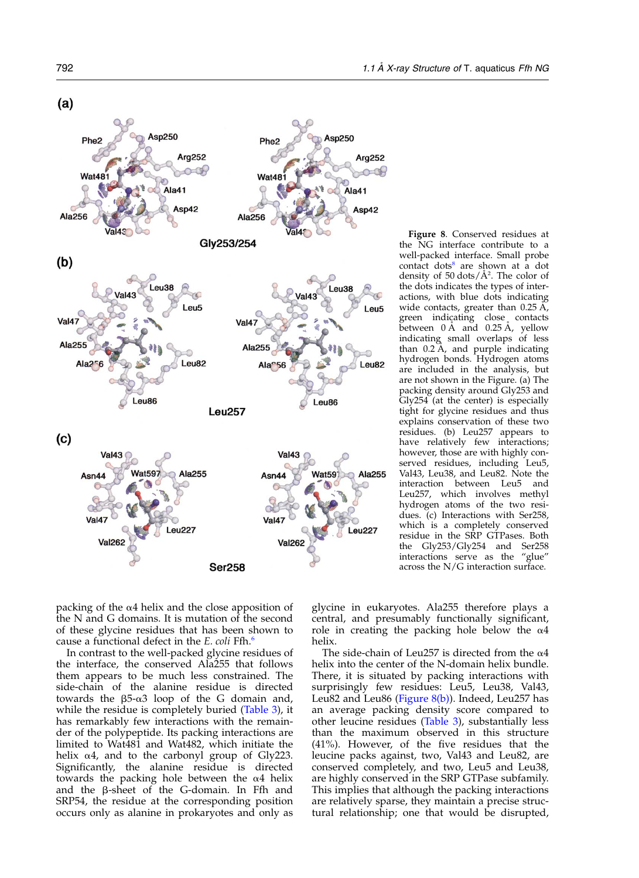<span id="page-9-0"></span>

Figure 8. Conserved residues at the NG interface contribute to a well-packed interface. Small probe contact dots<sup>[8](#page-14-0)</sup> are shown at a dot density of 50 dots/Å<sup>2</sup>. The color of the dots indicates the types of interactions, with blue dots indicating wide contacts, greater than  $0.25 \text{ Å}$ , green indicating close contacts between  $0 \text{ Å}$  and  $0.25 \text{ Å}$ , yellow indicating small overlaps of less than  $0.2 \, \text{A}$ , and purple indicating hydrogen bonds. Hydrogen atoms are included in the analysis, but are not shown in the Figure. (a) The packing density around Gly253 and Gly254 (at the center) is especially tight for glycine residues and thus explains conservation of these two residues. (b) Leu257 appears to have relatively few interactions; however, those are with highly conserved residues, including Leu5, Val43, Leu38, and Leu82. Note the interaction between Leu5 and Leu257, which involves methyl hydrogen atoms of the two residues. (c) Interactions with Ser258, which is a completely conserved residue in the SRP GTPases. Both the Gly253/Gly254 and Ser258 interactions serve as the "glue" across the N/G interaction surface.

packing of the  $\alpha$ 4 helix and the close apposition of the N and G domains. It is mutation of the second of these glycine residues that has been shown to cause a functional defect in the E. coli Ffh.<sup>[6](#page-14-0)</sup>

In contrast to the well-packed glycine residues of the interface, the conserved Ala255 that follows them appears to be much less constrained. The side-chain of the alanine residue is directed towards the  $\beta$ 5- $\alpha$ 3 loop of the G domain and, while the residue is completely buried ([Table 3\)](#page-10-0), it has remarkably few interactions with the remainder of the polypeptide. Its packing interactions are limited to Wat481 and Wat482, which initiate the helix  $\alpha$ 4, and to the carbonyl group of Gly223. Significantly, the alanine residue is directed towards the packing hole between the  $\alpha$ 4 helix and the  $\beta$ -sheet of the G-domain. In Ffh and SRP54, the residue at the corresponding position occurs only as alanine in prokaryotes and only as

glycine in eukaryotes. Ala255 therefore plays a central, and presumably functionally significant, role in creating the packing hole below the  $\alpha$ 4 helix.

The side-chain of Leu257 is directed from the  $\alpha$ 4 helix into the center of the N-domain helix bundle. There, it is situated by packing interactions with surprisingly few residues: Leu5, Leu38, Val43, Leu82 and Leu86 (Figure  $8(b)$ ). Indeed, Leu257 has an average packing density score compared to other leucine residues ([Table 3](#page-10-0)), substantially less than the maximum observed in this structure (41%). However, of the five residues that the leucine packs against, two, Val43 and Leu82, are conserved completely, and two, Leu5 and Leu38, are highly conserved in the SRP GTPase subfamily. This implies that although the packing interactions are relatively sparse, they maintain a precise structural relationship; one that would be disrupted,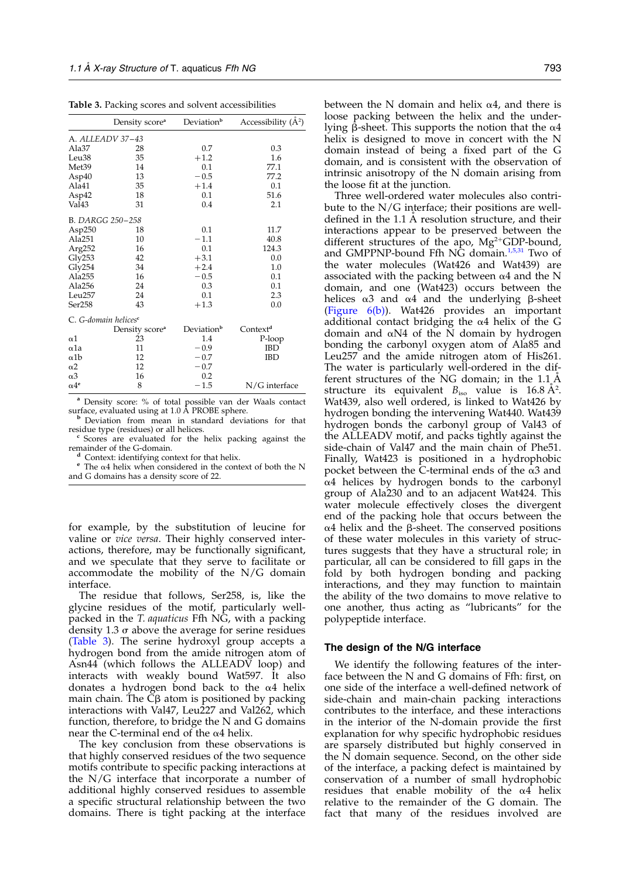<span id="page-10-0"></span>Table 3. Packing scores and solvent accessibilities

|                        | Density score <sup>a</sup>       | Deviation <sup>b</sup> | Accessibility $(A^2)$ |
|------------------------|----------------------------------|------------------------|-----------------------|
|                        | A. ALLEADV 37–43                 |                        |                       |
| Ala37                  | 28                               | 0.7                    | 0.3                   |
| Leu <sub>38</sub>      | 35                               | $+1.2$                 | 1.6                   |
| Met <sub>39</sub>      | 14                               | 0.1                    | 77.1                  |
| Asp40                  | 13                               | $-0.5$                 | 77.2                  |
| Ala41                  | 35                               | $+1.4$                 | 0.1                   |
| Asp42                  | 18                               | 0.1                    | 51.6                  |
| Val <sub>43</sub>      | 31                               | 0.4                    | 2.1                   |
|                        | B. DARGG 250-258                 |                        |                       |
| Asp $250$              | 18                               | 0.1                    | 11.7                  |
| Ala251                 | 10                               | $-1.1$                 | 40.8                  |
| Arg252                 | 16                               | 0.1                    | 124.3                 |
| Gly253                 | 42                               | $+3.1$                 | 0.0                   |
| Gly254                 | 34                               | $+2.4$                 | 1.0                   |
| Ala255                 | 16                               | $-0.5$                 | 0.1                   |
| Ala256                 | 24                               | 0.3                    | 0.1                   |
| Leu <sub>257</sub>     | 24                               | 0.1                    | 2.3                   |
| Ser258                 | 43                               | $+1.3$                 | 0.0                   |
|                        | C. G-domain helices <sup>e</sup> |                        |                       |
|                        | Density score <sup>a</sup>       | Deviation <sup>b</sup> | Context <sup>d</sup>  |
| $\alpha$ 1             | 23                               | 1.4                    | P-loop                |
| $\alpha$ 1a            | 11                               | $-0.9$                 | <b>IBD</b>            |
| $\alpha$ 1b            | 12                               | $-0.7$                 | IBD                   |
| $\alpha$ 2             | 12                               | $-0.7$                 |                       |
| $\alpha$ 3             | 16                               | 0.2                    |                       |
| $\alpha$ <sup>4e</sup> | 8                                | $-1.5$                 | N/G interface         |

<sup>a</sup> Density score: % of total possible van der Waals contact surface, evaluated using at  $1.0$  Å PROBE sphere.

beviation from mean in standard deviations for that residue type (residues) or all helices.

 $\frac{c}{c}$  Scores are evaluated for the helix packing against the remainder of the G-domain.

 $^{\mathfrak{a}}$  Context: identifying context for that helix. e The  $\alpha$ 4 helix when considered in the context of both the N and G domains has a density score of 22.

for example, by the substitution of leucine for valine or vice versa. Their highly conserved interactions, therefore, may be functionally significant, and we speculate that they serve to facilitate or accommodate the mobility of the  $N/G$  domain interface.

The residue that follows, Ser258, is, like the glycine residues of the motif, particularly wellpacked in the T. aquaticus Ffh NG, with a packing density 1.3  $\sigma$  above the average for serine residues (Table 3). The serine hydroxyl group accepts a hydrogen bond from the amide nitrogen atom of Asn44 (which follows the ALLEADV loop) and interacts with weakly bound Wat597. It also donates a hydrogen bond back to the  $\alpha$ 4 helix main chain. The  $C\beta$  atom is positioned by packing interactions with Val47, Leu227 and Val262, which function, therefore, to bridge the N and G domains near the C-terminal end of the  $\alpha$ 4 helix.

The key conclusion from these observations is that highly conserved residues of the two sequence motifs contribute to specific packing interactions at the N/G interface that incorporate a number of additional highly conserved residues to assemble a specific structural relationship between the two domains. There is tight packing at the interface between the N domain and helix  $\alpha$ 4, and there is loose packing between the helix and the underlying  $\beta$ -sheet. This supports the notion that the  $\alpha$ 4 helix is designed to move in concert with the N domain instead of being a fixed part of the G domain, and is consistent with the observation of intrinsic anisotropy of the N domain arising from the loose fit at the junction.

Three well-ordered water molecules also contribute to the  $N/G$  interface; their positions are welldefined in the 1.1 A resolution structure, and their interactions appear to be preserved between the different structures of the apo,  $Mg^{2+}GDP$ -bound, and GMPPNP-bound Ffh NG domain.<sup>[1,5,31](#page-14-0)</sup> Two of the water molecules (Wat426 and Wat439) are associated with the packing between  $\alpha$ 4 and the N domain, and one (Wat423) occurs between the helices  $\alpha$ 3 and  $\alpha$ 4 and the underlying  $\beta$ -sheet [\(Figure 6\(b\)](#page-7-0)). Wat426 provides an important additional contact bridging the  $\alpha$ 4 helix of the G domain and  $\alpha$ N4 of the N domain by hydrogen bonding the carbonyl oxygen atom of Ala85 and Leu257 and the amide nitrogen atom of His261. The water is particularly well-ordered in the different structures of the NG domain; in the  $1.1$  Å structure its equivalent  $B_{\text{iso}}$  value is 16.8  $\AA$ <sup>2</sup>. Wat439, also well ordered, is linked to Wat426 by hydrogen bonding the intervening Wat440. Wat439 hydrogen bonds the carbonyl group of Val43 of the ALLEADV motif, and packs tightly against the side-chain of Val47 and the main chain of Phe51. Finally, Wat423 is positioned in a hydrophobic pocket between the C-terminal ends of the  $\alpha$ 3 and  $\alpha$ 4 helices by hydrogen bonds to the carbonyl group of Ala230 and to an adjacent Wat424. This water molecule effectively closes the divergent end of the packing hole that occurs between the  $\alpha$ 4 helix and the  $\beta$ -sheet. The conserved positions of these water molecules in this variety of structures suggests that they have a structural role; in particular, all can be considered to fill gaps in the fold by both hydrogen bonding and packing interactions, and they may function to maintain the ability of the two domains to move relative to one another, thus acting as "lubricants" for the polypeptide interface.

#### The design of the N/G interface

We identify the following features of the interface between the N and G domains of Ffh: first, on one side of the interface a well-defined network of side-chain and main-chain packing interactions contributes to the interface, and these interactions in the interior of the N-domain provide the first explanation for why specific hydrophobic residues are sparsely distributed but highly conserved in the N domain sequence. Second, on the other side of the interface, a packing defect is maintained by conservation of a number of small hydrophobic residues that enable mobility of the  $\alpha$ <sup>4</sup> helix relative to the remainder of the G domain. The fact that many of the residues involved are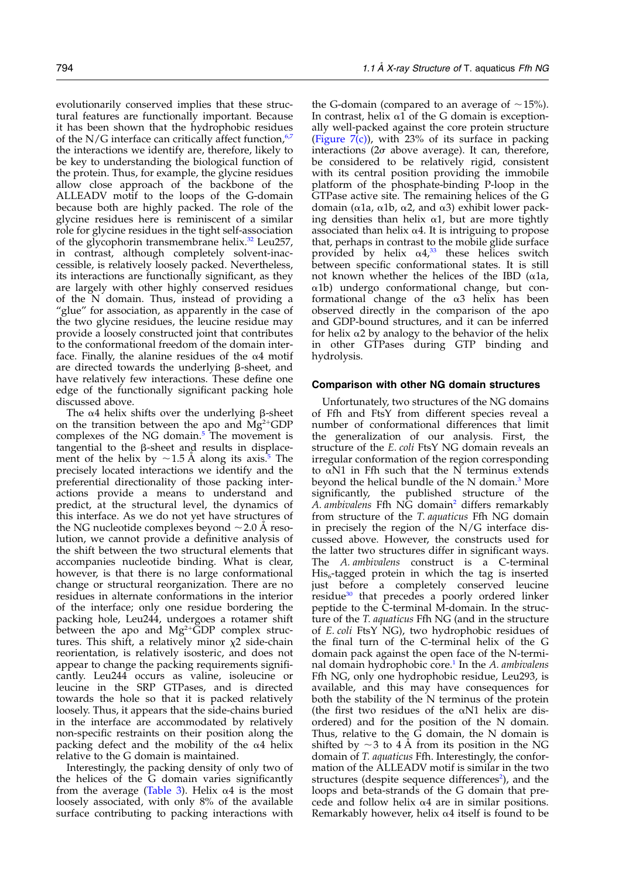evolutionarily conserved implies that these structural features are functionally important. Because it has been shown that the hydrophobic residues of the  $N/G$  interface can critically affect function,<sup>[6,7](#page-14-0)</sup> the interactions we identify are, therefore, likely to be key to understanding the biological function of the protein. Thus, for example, the glycine residues allow close approach of the backbone of the ALLEADV motif to the loops of the G-domain because both are highly packed. The role of the glycine residues here is reminiscent of a similar role for glycine residues in the tight self-association of the glycophorin transmembrane helix. $32$  Leu257, in contrast, although completely solvent-inaccessible, is relatively loosely packed. Nevertheless, its interactions are functionally significant, as they are largely with other highly conserved residues of the N domain. Thus, instead of providing a "glue" for association, as apparently in the case of the two glycine residues, the leucine residue may provide a loosely constructed joint that contributes to the conformational freedom of the domain interface. Finally, the alanine residues of the  $\alpha$ 4 motif are directed towards the underlying  $\beta$ -sheet, and have relatively few interactions. These define one edge of the functionally significant packing hole discussed above.

The  $\alpha$ 4 helix shifts over the underlying  $\beta$ -sheet on the transition between the apo and  $\text{Mg}^2$ <sup>+</sup>GDP complexes of the NG domain.<sup>[5](#page-14-0)</sup> The movement is tangential to the  $\beta$ -sheet and results in displacement of the helix by  $\sim$  1.[5](#page-14-0) A along its axis.<sup>5</sup> The precisely located interactions we identify and the preferential directionality of those packing interactions provide a means to understand and predict, at the structural level, the dynamics of this interface. As we do not yet have structures of the NG nucleotide complexes beyond  $\sim$  2.0 Å resolution, we cannot provide a definitive analysis of the shift between the two structural elements that accompanies nucleotide binding. What is clear, however, is that there is no large conformational change or structural reorganization. There are no residues in alternate conformations in the interior of the interface; only one residue bordering the packing hole, Leu244, undergoes a rotamer shift between the apo and  $Mg^{2+}\tilde{G}DP$  complex structures. This shift, a relatively minor  $\chi^2$  side-chain reorientation, is relatively isosteric, and does not appear to change the packing requirements significantly. Leu244 occurs as valine, isoleucine or leucine in the SRP GTPases, and is directed towards the hole so that it is packed relatively loosely. Thus, it appears that the side-chains buried in the interface are accommodated by relatively non-specific restraints on their position along the packing defect and the mobility of the  $\alpha$ 4 helix relative to the G domain is maintained.

Interestingly, the packing density of only two of the helices of the G domain varies significantly from the average ([Table 3\)](#page-10-0). Helix  $\alpha$ 4 is the most loosely associated, with only 8% of the available surface contributing to packing interactions with

the G-domain (compared to an average of  $\sim$  15%). In contrast, helix  $\alpha$ 1 of the G domain is exceptionally well-packed against the core protein structure (Figure  $7(c)$ ), with 23% of its surface in packing interactions ( $2\sigma$  above average). It can, therefore, be considered to be relatively rigid, consistent with its central position providing the immobile platform of the phosphate-binding P-loop in the GTPase active site. The remaining helices of the G domain ( $\alpha$ 1a,  $\alpha$ 1b,  $\alpha$ 2, and  $\alpha$ 3) exhibit lower packing densities than helix  $\alpha$ 1, but are more tightly associated than helix  $\alpha$ 4. It is intriguing to propose that, perhaps in contrast to the mobile glide surface provided by helix  $\alpha 4^{33}$  $\alpha 4^{33}$  $\alpha 4^{33}$  these helices switch between specific conformational states. It is still not known whether the helices of the IBD ( $\alpha$ 1a, a1b) undergo conformational change, but conformational change of the  $\alpha$ 3 helix has been observed directly in the comparison of the apo and GDP-bound structures, and it can be inferred for helix  $\alpha$ 2 by analogy to the behavior of the helix in other GTPases during GTP binding and hydrolysis.

#### Comparison with other NG domain structures

Unfortunately, two structures of the NG domains of Ffh and FtsY from different species reveal a number of conformational differences that limit the generalization of our analysis. First, the structure of the E. coli FtsY NG domain reveals an irregular conformation of the region corresponding to  $\alpha$ N1 in Ffh such that the N terminus extends beyond the helical bundle of the N domain.<sup>[3](#page-14-0)</sup> More significantly, the published structure of the A. ambivalens Ffh NG domain<sup>[2](#page-14-0)</sup> differs remarkably from structure of the T. aquaticus Ffh NG domain in precisely the region of the N/G interface discussed above. However, the constructs used for the latter two structures differ in significant ways. The A. ambivalens construct is a C-terminal  $His<sub>6</sub>$ -tagged protein in which the tag is inserted just before a completely conserved leucine residue<sup>[30](#page-15-0)</sup> that precedes a poorly ordered linker peptide to the C-terminal M-domain. In the structure of the T. aquaticus Ffh NG (and in the structure of E. coli FtsY NG), two hydrophobic residues of the final turn of the C-terminal helix of the G domain pack against the open face of the N-termi-nal domain hydrophobic core.<sup>[1](#page-14-0)</sup> In the  $A$ . ambivalens Ffh NG, only one hydrophobic residue, Leu293, is available, and this may have consequences for both the stability of the N terminus of the protein (the first two residues of the  $\alpha$ N1 helix are disordered) and for the position of the N domain. Thus, relative to the  $\overline{G}$  domain, the N domain is shifted by  $\sim$  3 to 4 A from its position in the NG domain of T. aquaticus Ffh. Interestingly, the conformation of the ALLEADV motif is similar in the two structures (despite sequence differences<sup>[2](#page-14-0)</sup>), and the loops and beta-strands of the G domain that precede and follow helix  $\alpha$ 4 are in similar positions. Remarkably however, helix  $\alpha$ 4 itself is found to be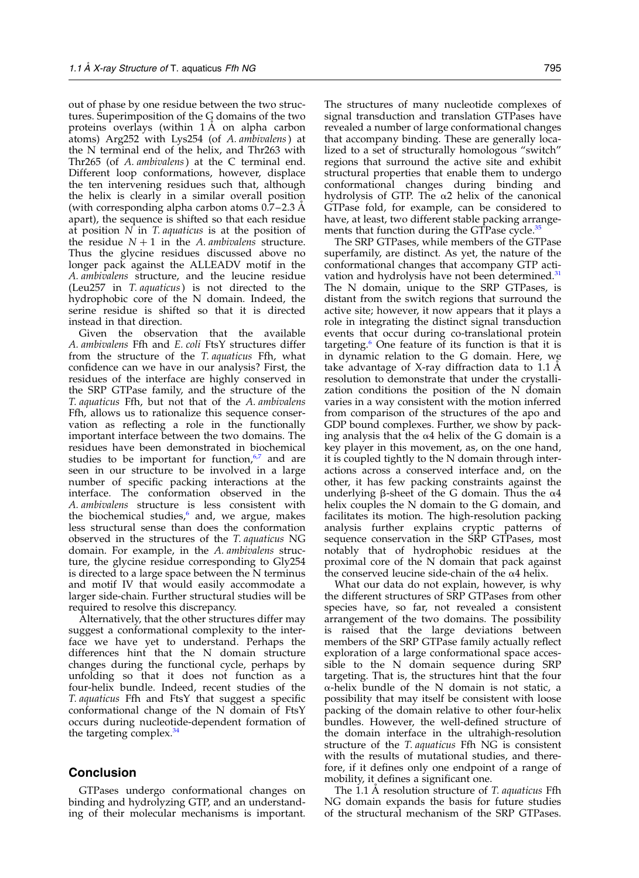out of phase by one residue between the two structures. Superimposition of the G domains of the two proteins overlays (within 1 A on alpha carbon atoms) Arg252 with Lys254 (of A. ambivalens) at the N terminal end of the helix, and Thr263 with Thr265 (of A. ambivalens) at the C terminal end. Different loop conformations, however, displace the ten intervening residues such that, although the helix is clearly in a similar overall position (with corresponding alpha carbon atoms  $0.7-2.3$  A apart), the sequence is shifted so that each residue at position  $N$  in  $T$  *aquaticus* is at the position of the residue  $N+1$  in the A. ambivalens structure. Thus the glycine residues discussed above no longer pack against the ALLEADV motif in the A. ambivalens structure, and the leucine residue (Leu257 in T. aquaticus) is not directed to the hydrophobic core of the N domain. Indeed, the serine residue is shifted so that it is directed instead in that direction.

Given the observation that the available A. ambivalens Ffh and E. coli FtsY structures differ from the structure of the T. aquaticus Ffh, what confidence can we have in our analysis? First, the residues of the interface are highly conserved in the SRP GTPase family, and the structure of the T. aquaticus Ffh, but not that of the A. ambivalens Ffh, allows us to rationalize this sequence conservation as reflecting a role in the functionally important interface between the two domains. The residues have been demonstrated in biochemical studies to be important for function, $67$  and are seen in our structure to be involved in a large number of specific packing interactions at the interface. The conformation observed in the A. ambivalens structure is less consistent with the biochemical studies, $6 \text{ and }$  $6 \text{ and }$ , we argue, makes less structural sense than does the conformation observed in the structures of the T. aquaticus NG domain. For example, in the A. ambivalens structure, the glycine residue corresponding to Gly254 is directed to a large space between the N terminus and motif IV that would easily accommodate a larger side-chain. Further structural studies will be required to resolve this discrepancy.

Alternatively, that the other structures differ may suggest a conformational complexity to the interface we have yet to understand. Perhaps the differences hint that the N domain structure changes during the functional cycle, perhaps by unfolding so that it does not function as a four-helix bundle. Indeed, recent studies of the T. aquaticus Ffh and FtsY that suggest a specific conformational change of the N domain of FtsY occurs during nucleotide-dependent formation of the targeting complex.<sup>[34](#page-15-0)</sup>

# Conclusion

GTPases undergo conformational changes on binding and hydrolyzing GTP, and an understanding of their molecular mechanisms is important.

The structures of many nucleotide complexes of signal transduction and translation GTPases have revealed a number of large conformational changes that accompany binding. These are generally localized to a set of structurally homologous "switch" regions that surround the active site and exhibit structural properties that enable them to undergo conformational changes during binding and hydrolysis of GTP. The  $\alpha$ 2 helix of the canonical GTPase fold, for example, can be considered to have, at least, two different stable packing arrange-ments that function during the GTPase cycle.<sup>[35](#page-15-0)</sup>

The SRP GTPases, while members of the GTPase superfamily, are distinct. As yet, the nature of the conformational changes that accompany GTP acti-vation and hydrolysis have not been determined.<sup>[31](#page-15-0)</sup> The N domain, unique to the SRP GTPases, is distant from the switch regions that surround the active site; however, it now appears that it plays a role in integrating the distinct signal transduction events that occur during co-translational protein targeting[.6](#page-14-0) One feature of its function is that it is in dynamic relation to the G domain. Here, we take advantage of  $X$ -ray diffraction data to 1.1 A resolution to demonstrate that under the crystallization conditions the position of the N domain varies in a way consistent with the motion inferred from comparison of the structures of the apo and GDP bound complexes. Further, we show by packing analysis that the  $\alpha$ 4 helix of the G domain is a key player in this movement, as, on the one hand, it is coupled tightly to the N domain through interactions across a conserved interface and, on the other, it has few packing constraints against the underlying  $\beta$ -sheet of the G domain. Thus the  $\alpha$ 4 helix couples the N domain to the G domain, and facilitates its motion. The high-resolution packing analysis further explains cryptic patterns of sequence conservation in the SRP GTPases, most notably that of hydrophobic residues at the proximal core of the N domain that pack against the conserved leucine side-chain of the  $\alpha$ 4 helix.

What our data do not explain, however, is why the different structures of SRP GTPases from other species have, so far, not revealed a consistent arrangement of the two domains. The possibility is raised that the large deviations between members of the SRP GTPase family actually reflect exploration of a large conformational space accessible to the N domain sequence during SRP targeting. That is, the structures hint that the four  $\alpha$ -helix bundle of the N domain is not static, a possibility that may itself be consistent with loose packing of the domain relative to other four-helix bundles. However, the well-defined structure of the domain interface in the ultrahigh-resolution structure of the T. aquaticus Ffh NG is consistent with the results of mutational studies, and therefore, if it defines only one endpoint of a range of mobility, it defines a significant one.

The 1.1  $\dot{A}$  resolution structure of T. aquaticus Ffh NG domain expands the basis for future studies of the structural mechanism of the SRP GTPases.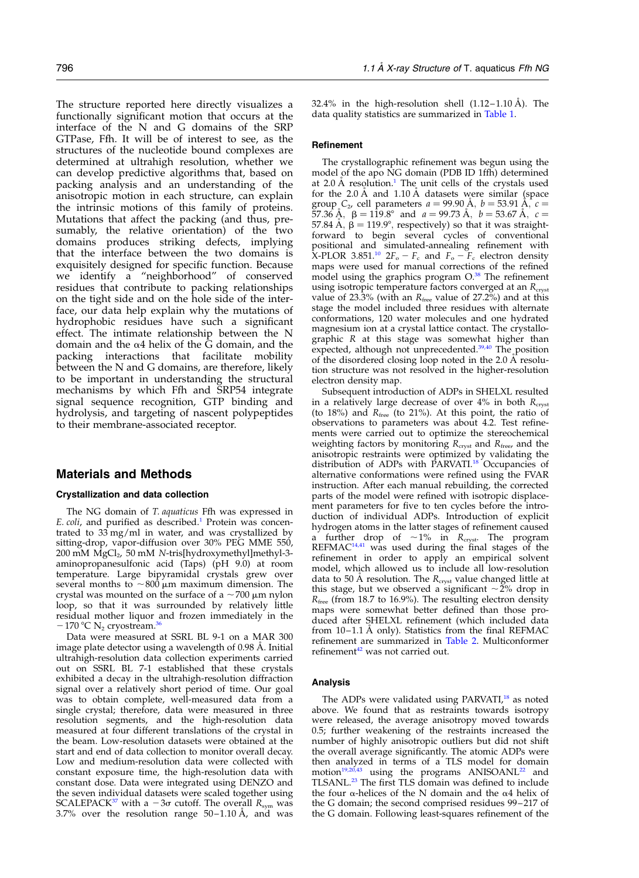The structure reported here directly visualizes a functionally significant motion that occurs at the interface of the N and G domains of the SRP GTPase, Ffh. It will be of interest to see, as the structures of the nucleotide bound complexes are determined at ultrahigh resolution, whether we can develop predictive algorithms that, based on packing analysis and an understanding of the anisotropic motion in each structure, can explain the intrinsic motions of this family of proteins. Mutations that affect the packing (and thus, presumably, the relative orientation) of the two domains produces striking defects, implying that the interface between the two domains is exquisitely designed for specific function. Because we identify a "neighborhood" of conserved residues that contribute to packing relationships on the tight side and on the hole side of the interface, our data help explain why the mutations of hydrophobic residues have such a significant effect. The intimate relationship between the N domain and the  $\alpha$ 4 helix of the  $\tilde{G}$  domain, and the packing interactions that facilitate mobility between the N and G domains, are therefore, likely to be important in understanding the structural mechanisms by which Ffh and SRP54 integrate signal sequence recognition, GTP binding and hydrolysis, and targeting of nascent polypeptides to their membrane-associated receptor.

## Materials and Methods

#### Crystallization and data collection

The NG domain of T. aquaticus Ffh was expressed in E. coli, and purified as described.<sup>[1](#page-14-0)</sup> Protein was concentrated to  $33 \text{ mg/ml}$  in water, and was crystallized by sitting-drop, vapor-diffusion over 30% PEG MME 550,  $200$  mM  $\text{MgCl}_2$ ,  $50$  mM  $\text{N-tris}$ [hydroxymethyl]methyl-3aminopropanesulfonic acid (Taps) (pH 9.0) at room temperature. Large bipyramidal crystals grew over several months to  $\sim$ 800  $\mu$ m maximum dimension. The crystal was mounted on the surface of a  $\sim\!700$   $\mu\mathrm{m}$  nylon loop, so that it was surrounded by relatively little residual mother liquor and frozen immediately in the  $-170$  °C N<sub>2</sub> cryostream.<sup>3</sup>

Data were measured at SSRL BL 9-1 on a MAR 300 image plate detector using a wavelength of 0.98 Å. Initial ultrahigh-resolution data collection experiments carried out on SSRL BL 7-1 established that these crystals exhibited a decay in the ultrahigh-resolution diffraction signal over a relatively short period of time. Our goal was to obtain complete, well-measured data from a single crystal; therefore, data were measured in three resolution segments, and the high-resolution data measured at four different translations of the crystal in the beam. Low-resolution datasets were obtained at the start and end of data collection to monitor overall decay. Low and medium-resolution data were collected with constant exposure time, the high-resolution data with constant dose. Data were integrated using DENZO and the seven individual datasets were scaled together using SCALEPACK<sup>37</sup> with a  $-3\sigma$  cutoff. The overall  $R_{sym}$  was 3.7% over the resolution range  $50-1.10 \text{ Å}$ , and was 32.4% in the high-resolution shell  $(1.12-1.10 \text{ Å})$ . The data quality statistics are summarized in [Table 1.](#page-2-0)

#### Refinement

The crystallographic refinement was begun using the model of the apo NG domain (PDB ID 1ffh) determined at 2.0 Å resolution.<sup>1</sup> The unit cells of the crystals used for the 2.0  $\AA$  and 1.10  $\AA$  datasets were similar (space group  $C_2$ , cell parameters  $a = 99.90$  Å,  $b = 53.91$  Å,  $c =$ 57.36  $\AA$ ,  $\AA$ ,  $\AA$  = 119.8° and  $a = 99.73 \AA$ ,  $b = 53.67 \AA$ ,  $c =$ 57.84 Å,  $\beta = 119.9^{\circ}$ , respectively) so that it was straightforward to begin several cycles of conventional positional and simulated-annealing refinement with  $X-PLOR$  3.851.<sup>10</sup> 2F<sub>o</sub> – F<sub>c</sub> and F<sub>o</sub> – F<sub>c</sub> electron density maps were used for manual corrections of the refined model using the graphics program O.<sup>[38](#page-15-0)</sup> The refinement using isotropic temperature factors converged at an  $R_{\text{cryst}}$ value of 23.3% (with an  $R_{\text{free}}$  value of 27.2%) and at this stage the model included three residues with alternate conformations, 120 water molecules and one hydrated magnesium ion at a crystal lattice contact. The crystallographic R at this stage was somewhat higher than expected, although not unprecedented. $39,40$  The position of the disordered closing loop noted in the  $2.0 \text{ Å}$  resolution structure was not resolved in the higher-resolution electron density map.

Subsequent introduction of ADPs in SHELXL resulted in a relatively large decrease of over  $4\%$  in both  $R<sub>cryst</sub>$ </sub> (to 18%) and  $R_{\text{free}}$  (to 21%). At this point, the ratio of observations to parameters was about 4.2. Test refinements were carried out to optimize the stereochemical weighting factors by monitoring  $R_{\text{cryst}}$  and  $R_{\text{free}}$ , and the anisotropic restraints were optimized by validating the distribution of ADPs with PARVATI.<sup>[18](#page-15-0)</sup> Occupancies of alternative conformations were refined using the FVAR instruction. After each manual rebuilding, the corrected parts of the model were refined with isotropic displacement parameters for five to ten cycles before the introduction of individual ADPs. Introduction of explicit hydrogen atoms in the latter stages of refinement caused a further drop of  $\sim 1\%$  in  $R_{\text{cryst}}$ . The program  $REFMAC<sup>14,41</sup>$  was used during the final stages of the refinement in order to apply an empirical solvent model, which allowed us to include all low-resolution data to 50 Å resolution. The  $R_{\text{cryst}}$  value changed little at this stage, but we observed a significant  ${\sim}2\%$  drop in  $R<sub>free</sub>$  (from 18.7 to 16.9%). The resulting electron density maps were somewhat better defined than those produced after SHELXL refinement (which included data from  $10-1.1$  A only). Statistics from the final REFMAC refinement are summarized in [Table 2.](#page-2-0) Multiconformer refinement<sup>[42](#page-15-0)</sup> was not carried out.

#### Analysis

The ADPs were validated using PARVATI,<sup>[18](#page-15-0)</sup> as noted above. We found that as restraints towards isotropy were released, the average anisotropy moved towards 0.5; further weakening of the restraints increased the number of highly anisotropic outliers but did not shift the overall average significantly. The atomic ADPs were then analyzed in terms of a TLS model for domain motion<sup>[19,20,43](#page-15-0)</sup> using the programs ANISOANL<sup>[22](#page-15-0)</sup> and TLSANL.<sup>[23](#page-15-0)</sup> The first TLS domain was defined to include the four  $\alpha$ -helices of the N domain and the  $\alpha$ 4 helix of the G domain; the second comprised residues 99–217 of the G domain. Following least-squares refinement of the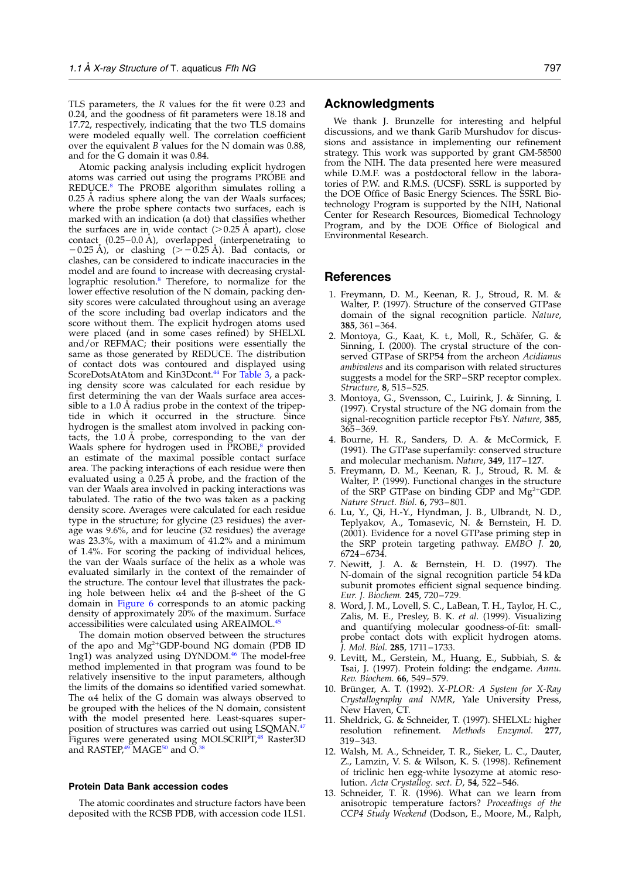<span id="page-14-0"></span>TLS parameters, the R values for the fit were 0.23 and 0.24, and the goodness of fit parameters were 18.18 and 17.72, respectively, indicating that the two TLS domains were modeled equally well. The correlation coefficient over the equivalent  $B$  values for the N domain was 0.88, and for the G domain it was 0.84.

Atomic packing analysis including explicit hydrogen atoms was carried out using the programs PROBE and REDUCE.<sup>8</sup> The PROBE algorithm simulates rolling a 0.25 Å radius sphere along the van der Waals surfaces; where the probe sphere contacts two surfaces, each is marked with an indication (a dot) that classifies whether the surfaces are in wide contact  $(>0.25 \text{ A}$  apart), close contact  $(0.25-0.0 \text{ Å})$ , overlapped (interpenetrating to  $(20.25 \text{ Å})$ , or clashing  $(20.25 \text{ Å})$ . Bad contacts, or clashes, can be considered to indicate inaccuracies in the model and are found to increase with decreasing crystallographic resolution.8 Therefore, to normalize for the lower effective resolution of the N domain, packing density scores were calculated throughout using an average of the score including bad overlap indicators and the score without them. The explicit hydrogen atoms used were placed (and in some cases refined) by SHELXL and/or REFMAC; their positions were essentially the same as those generated by REDUCE. The distribution of contact dots was contoured and displayed using ScoreDotsAtAtom and Kin3Dcont.<sup>[44](#page-15-0)</sup> For [Table 3](#page-10-0), a packing density score was calculated for each residue by first determining the van der Waals surface area accessible to a 1.0  $\AA$  radius probe in the context of the tripeptide in which it occurred in the structure. Since hydrogen is the smallest atom involved in packing contacts, the 1.0 Å probe, corresponding to the van der Waals sphere for hydrogen used in  $\text{PROBE},^8$  provided an estimate of the maximal possible contact surface area. The packing interactions of each residue were then evaluated using a  $0.25 \text{ Å}$  probe, and the fraction of the van der Waals area involved in packing interactions was tabulated. The ratio of the two was taken as a packing density score. Averages were calculated for each residue type in the structure; for glycine (23 residues) the average was 9.6%, and for leucine (32 residues) the average was 23.3%, with a maximum of 41.2% and a minimum of 1.4%. For scoring the packing of individual helices, the van der Waals surface of the helix as a whole was evaluated similarly in the context of the remainder of the structure. The contour level that illustrates the packing hole between helix  $\alpha$ 4 and the  $\beta$ -sheet of the G domain in [Figure 6](#page-7-0) corresponds to an atomic packing density of approximately 20% of the maximum. Surface accessibilities were calculated using AREAIMOL.[45](#page-15-0)

The domain motion observed between the structures of the apo and  $Mg^{2+}GDP$ -bound NG domain (PDB ID 1ng1) was analyzed using DYNDOM.<sup>[46](#page-15-0)</sup> The model-free method implemented in that program was found to be relatively insensitive to the input parameters, although the limits of the domains so identified varied somewhat. The  $\alpha$ 4 helix of the G domain was always observed to be grouped with the helices of the N domain, consistent with the model presented here. Least-squares superposition of structures was carried out using LSQMAN.[47](#page-16-0) Figures were generated using MOLSCRIPT,<sup>[48](#page-16-0)</sup> Raster3D and RASTEP, $49$ <sup>T</sup>MAGE<sup>[50](#page-16-0)</sup> and O.<sup>[38](#page-15-0)</sup>

#### Protein Data Bank accession codes

The atomic coordinates and structure factors have been deposited with the RCSB PDB, with accession code 1LS1.

#### Acknowledgments

We thank J. Brunzelle for interesting and helpful discussions, and we thank Garib Murshudov for discussions and assistance in implementing our refinement strategy. This work was supported by grant GM-58500 from the NIH. The data presented here were measured while D.M.F. was a postdoctoral fellow in the laboratories of P.W. and R.M.S. (UCSF). SSRL is supported by the DOE Office of Basic Energy Sciences. The SSRL Biotechnology Program is supported by the NIH, National Center for Research Resources, Biomedical Technology Program, and by the DOE Office of Biological and Environmental Research.

#### References

- 1. Freymann, D. M., Keenan, R. J., Stroud, R. M. & Walter, P. (1997). Structure of the conserved GTPase domain of the signal recognition particle. Nature, 385, 361–364.
- 2. Montoya, G., Kaat, K. t., Moll, R., Schäfer, G. & Sinning, I. (2000). The crystal structure of the conserved GTPase of SRP54 from the archeon Acidianus ambivalens and its comparison with related structures suggests a model for the SRP–SRP receptor complex. Structure, 8, 515–525.
- 3. Montoya, G., Svensson, C., Luirink, J. & Sinning, I. (1997). Crystal structure of the NG domain from the signal-recognition particle receptor FtsY. Nature, 385, 365–369.
- 4. Bourne, H. R., Sanders, D. A. & McCormick, F. (1991). The GTPase superfamily: conserved structure and molecular mechanism. Nature, 349, 117–127.
- 5. Freymann, D. M., Keenan, R. J., Stroud, R. M. & Walter, P. (1999). Functional changes in the structure of the SRP GTPase on binding GDP and  $Mg^{2+}GDP$ . Nature Struct. Biol. 6, 793–801.
- 6. Lu, Y., Qi, H.-Y., Hyndman, J. B., Ulbrandt, N. D., Teplyakov, A., Tomasevic, N. & Bernstein, H. D. (2001). Evidence for a novel GTPase priming step in the SRP protein targeting pathway. EMBO J. 20, 6724–6734.
- 7. Newitt, J. A. & Bernstein, H. D. (1997). The N-domain of the signal recognition particle 54 kDa subunit promotes efficient signal sequence binding. Eur. J. Biochem. 245, 720–729.
- 8. Word, J. M., Lovell, S. C., LaBean, T. H., Taylor, H. C., Zalis, M. E., Presley, B. K. et al. (1999). Visualizing and quantifying molecular goodness-of-fit: smallprobe contact dots with explicit hydrogen atoms. J. Mol. Biol. 285, 1711–1733.
- 9. Levitt, M., Gerstein, M., Huang, E., Subbiah, S. & Tsai, J. (1997). Protein folding: the endgame. Annu. Rev. Biochem. 66, 549–579.
- 10. Brünger, A. T. (1992). X-PLOR: A System for X-Ray Crystallography and NMR, Yale University Press, New Haven, CT.
- 11. Sheldrick, G. & Schneider, T. (1997). SHELXL: higher resolution refinement. Methods Enzymol. 277, 319–343.
- 12. Walsh, M. A., Schneider, T. R., Sieker, L. C., Dauter, Z., Lamzin, V. S. & Wilson, K. S. (1998). Refinement of triclinic hen egg-white lysozyme at atomic resolution. Acta Crystallog. sect. D, 54, 522–546.
- 13. Schneider, T. R. (1996). What can we learn from anisotropic temperature factors? Proceedings of the CCP4 Study Weekend (Dodson, E., Moore, M., Ralph,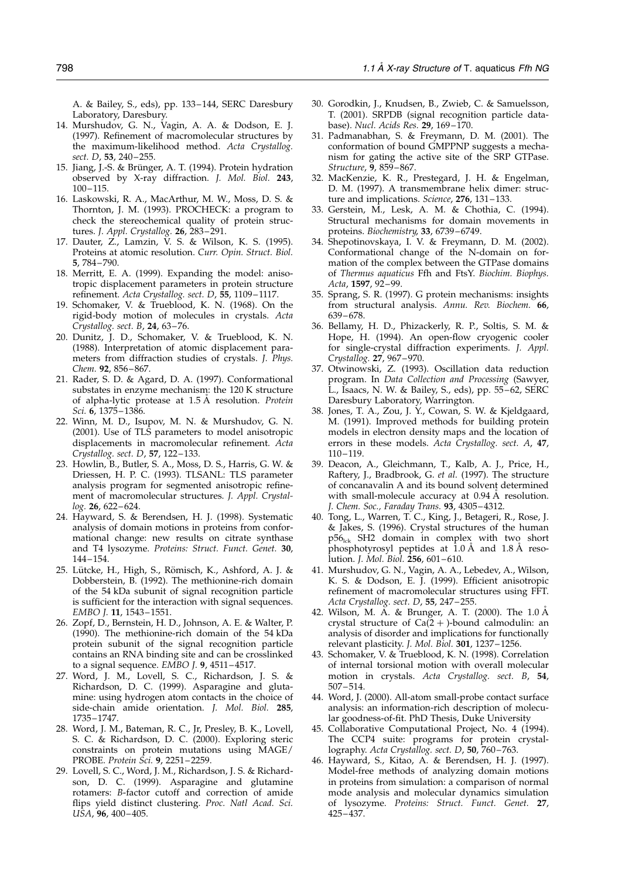<span id="page-15-0"></span>A. & Bailey, S., eds), pp. 133–144, SERC Daresbury Laboratory, Daresbury.

- 14. Murshudov, G. N., Vagin, A. A. & Dodson, E. J. (1997). Refinement of macromolecular structures by the maximum-likelihood method. Acta Crystallog. sect. D, 53, 240–255.
- 15. Jiang, J.-S. & Brünger, A. T. (1994). Protein hydration observed by X-ray diffraction. J. Mol. Biol. 243, 100–115.
- 16. Laskowski, R. A., MacArthur, M. W., Moss, D. S. & Thornton, J. M. (1993). PROCHECK: a program to check the stereochemical quality of protein structures. J. Appl. Crystallog. 26, 283–291.
- 17. Dauter, Z., Lamzin, V. S. & Wilson, K. S. (1995). Proteins at atomic resolution. Curr. Opin. Struct. Biol. 5, 784–790.
- 18. Merritt, E. A. (1999). Expanding the model: anisotropic displacement parameters in protein structure refinement. Acta Crystallog. sect. D, 55, 1109–1117.
- 19. Schomaker, V. & Trueblood, K. N. (1968). On the rigid-body motion of molecules in crystals. Acta Crystallog. sect. B, 24, 63–76.
- 20. Dunitz, J. D., Schomaker, V. & Trueblood, K. N. (1988). Interpretation of atomic displacement parameters from diffraction studies of crystals. J. Phys. Chem. 92, 856–867.
- 21. Rader, S. D. & Agard, D. A. (1997). Conformational substates in enzyme mechanism: the 120 K structure of alpha-lytic protease at 1.5 Å resolution. Protein Sci. 6, 1375–1386.
- 22. Winn, M. D., Isupov, M. N. & Murshudov, G. N. (2001). Use of TLS parameters to model anisotropic displacements in macromolecular refinement. Acta Crystallog. sect. D, 57, 122–133.
- 23. Howlin, B., Butler, S. A., Moss, D. S., Harris, G. W. & Driessen, H. P. C. (1993). TLSANL: TLS parameter analysis program for segmented anisotropic refinement of macromolecular structures. J. Appl. Crystallog. 26, 622–624.
- 24. Hayward, S. & Berendsen, H. J. (1998). Systematic analysis of domain motions in proteins from conformational change: new results on citrate synthase and T4 lysozyme. Proteins: Struct. Funct. Genet. 30, 144–154.
- 25. Lütcke, H., High, S., Römisch, K., Ashford, A. J. & Dobberstein, B. (1992). The methionine-rich domain of the 54 kDa subunit of signal recognition particle is sufficient for the interaction with signal sequences. EMBO J. 11, 1543–1551.
- 26. Zopf, D., Bernstein, H. D., Johnson, A. E. & Walter, P. (1990). The methionine-rich domain of the 54 kDa protein subunit of the signal recognition particle contains an RNA binding site and can be crosslinked to a signal sequence.  $EMBO$  J. 9, 4511-4517.
- 27. Word, J. M., Lovell, S. C., Richardson, J. S. & Richardson, D. C. (1999). Asparagine and glutamine: using hydrogen atom contacts in the choice of side-chain amide orientation. J. Mol. Biol. 285, 1735–1747.
- 28. Word, J. M., Bateman, R. C., Jr, Presley, B. K., Lovell, S. C. & Richardson, D. C. (2000). Exploring steric constraints on protein mutations using MAGE/ PROBE. Protein Sci. 9, 2251–2259.
- 29. Lovell, S. C., Word, J. M., Richardson, J. S. & Richardson, D. C. (1999). Asparagine and glutamine rotamers: B-factor cutoff and correction of amide flips yield distinct clustering. Proc. Natl Acad. Sci. USA, 96, 400–405.
- 30. Gorodkin, J., Knudsen, B., Zwieb, C. & Samuelsson, T. (2001). SRPDB (signal recognition particle database). Nucl. Acids Res. 29, 169–170.
- 31. Padmanabhan, S. & Freymann, D. M. (2001). The conformation of bound GMPPNP suggests a mechanism for gating the active site of the SRP GTPase. Structure, 9, 859–867.
- 32. MacKenzie, K. R., Prestegard, J. H. & Engelman, D. M. (1997). A transmembrane helix dimer: structure and implications. Science, 276, 131-133.
- 33. Gerstein, M., Lesk, A. M. & Chothia, C. (1994). Structural mechanisms for domain movements in proteins. Biochemistry, 33, 6739–6749.
- 34. Shepotinovskaya, I. V. & Freymann, D. M. (2002). Conformational change of the N-domain on formation of the complex between the GTPase domains of Thermus aquaticus Ffh and FtsY. Biochim. Biophys. Acta, 1597, 92–99.
- 35. Sprang, S. R. (1997). G protein mechanisms: insights from structural analysis. Annu. Rev. Biochem. 66, 639–678.
- 36. Bellamy, H. D., Phizackerly, R. P., Soltis, S. M. & Hope, H. (1994). An open-flow cryogenic cooler for single-crystal diffraction experiments. J. Appl. Crystallog. 27, 967–970.
- 37. Otwinowski, Z. (1993). Oscillation data reduction program. In Data Collection and Processing (Sawyer, L., Isaacs, N. W. & Bailey, S., eds), pp. 55–62, SERC Daresbury Laboratory, Warrington.
- 38. Jones, T. A., Zou, J. Y., Cowan, S. W. & Kjeldgaard, M. (1991). Improved methods for building protein models in electron density maps and the location of errors in these models. Acta Crystallog. sect. A, 47, 110–119.
- 39. Deacon, A., Gleichmann, T., Kalb, A. J., Price, H., Raftery, J., Bradbrook, G. et al. (1997). The structure of concanavalin A and its bound solvent determined with small-molecule accuracy at  $0.94 \text{ Å}$  resolution. J. Chem. Soc., Faraday Trans. 93, 4305–4312.
- 40. Tong, L., Warren, T. C., King, J., Betageri, R., Rose, J. & Jakes, S. (1996). Crystal structures of the human p56<sub>lck</sub> SH2 domain in complex with two short phosphotyrosyl peptides at  $1.0 \text{ Å}$  and  $1.8 \text{ Å}$  resolution. J. Mol. Biol. 256, 601–610.
- 41. Murshudov, G. N., Vagin, A. A., Lebedev, A., Wilson, K. S. & Dodson, E. J. (1999). Efficient anisotropic refinement of macromolecular structures using FFT. Acta Crystallog. sect. D, 55, 247–255.
- 42. Wilson, M. A. & Brunger, A. T. (2000). The  $1.0 \text{ Å}$ crystal structure of  $Ca(2 +)$ -bound calmodulin: an analysis of disorder and implications for functionally relevant plasticity. J. Mol. Biol. 301, 1237–1256.
- 43. Schomaker, V. & Trueblood, K. N. (1998). Correlation of internal torsional motion with overall molecular motion in crystals. Acta Crystallog. sect. B, 54, 507–514.
- 44. Word, J. (2000). All-atom small-probe contact surface analysis: an information-rich description of molecular goodness-of-fit. PhD Thesis, Duke University
- 45. Collaborative Computational Project, No. 4 (1994). The CCP4 suite: programs for protein crystallography. Acta Crystallog. sect. D, 50, 760-763.
- 46. Hayward, S., Kitao, A. & Berendsen, H. J. (1997). Model-free methods of analyzing domain motions in proteins from simulation: a comparison of normal mode analysis and molecular dynamics simulation of lysozyme. Proteins: Struct. Funct. Genet. 27, 425–437.